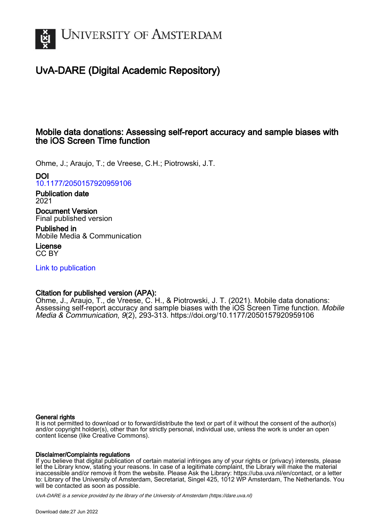

# UvA-DARE (Digital Academic Repository)

# Mobile data donations: Assessing self-report accuracy and sample biases with the iOS Screen Time function

Ohme, J.; Araujo, T.; de Vreese, C.H.; Piotrowski, J.T.

DOI

[10.1177/2050157920959106](https://doi.org/10.1177/2050157920959106)

Publication date 2021

Document Version Final published version

Published in Mobile Media & Communication

License CC BY

[Link to publication](https://dare.uva.nl/personal/pure/en/publications/mobile-data-donations-assessing-selfreport-accuracy-and-sample-biases-with-the-ios-screen-time-function(4c2812d7-12d1-4b9d-a849-aa1da4328eb3).html)

# Citation for published version (APA):

Ohme, J., Araujo, T., de Vreese, C. H., & Piotrowski, J. T. (2021). Mobile data donations: Assessing self-report accuracy and sample biases with the iOS Screen Time function. Mobile Media & Communication, 9(2), 293-313. <https://doi.org/10.1177/2050157920959106>

#### General rights

It is not permitted to download or to forward/distribute the text or part of it without the consent of the author(s) and/or copyright holder(s), other than for strictly personal, individual use, unless the work is under an open content license (like Creative Commons).

#### Disclaimer/Complaints regulations

If you believe that digital publication of certain material infringes any of your rights or (privacy) interests, please let the Library know, stating your reasons. In case of a legitimate complaint, the Library will make the material inaccessible and/or remove it from the website. Please Ask the Library: https://uba.uva.nl/en/contact, or a letter to: Library of the University of Amsterdam, Secretariat, Singel 425, 1012 WP Amsterdam, The Netherlands. You will be contacted as soon as possible.

UvA-DARE is a service provided by the library of the University of Amsterdam (http*s*://dare.uva.nl)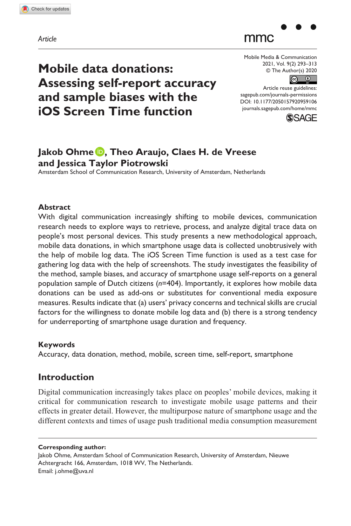**9591[06](http://crossmark.crossref.org/dialog/?doi=10.1177%2F2050157920959106&domain=pdf&date_stamp=2020-09-30)** MMC0010.1177/2050157920959106Mobile Media & Communication**Ohme et al.**

*Article*

mmc

Mobile Media & Communication 2021, Vol. 9(2) 293–313 © The Author(s) 2020



DOI: 10.1177/2050157920959106 Article reuse guidelines: [sagepub.com/journals-permissions](https://uk.sagepub.com/en-gb/journals-permissions) [journals.sagepub.com/home/mmc](https://journals.sagepub.com/home/mmc)



# **Mobile data donations: Assessing self-report accuracy and sample biases with the iOS Screen Time function**

# **Jakob Ohme , Theo Araujo, Claes H. de Vreese and Jessica Taylor Piotrowski**

Amsterdam School of Communication Research, University of Amsterdam, Netherlands

#### **Abstract**

With digital communication increasingly shifting to mobile devices, communication research needs to explore ways to retrieve, process, and analyze digital trace data on people's most personal devices. This study presents a new methodological approach, mobile data donations, in which smartphone usage data is collected unobtrusively with the help of mobile log data. The iOS Screen Time function is used as a test case for gathering log data with the help of screenshots. The study investigates the feasibility of the method, sample biases, and accuracy of smartphone usage self-reports on a general population sample of Dutch citizens (*n*=404). Importantly, it explores how mobile data donations can be used as add-ons or substitutes for conventional media exposure measures. Results indicate that (a) users' privacy concerns and technical skills are crucial factors for the willingness to donate mobile log data and (b) there is a strong tendency for underreporting of smartphone usage duration and frequency.

#### **Keywords**

Accuracy, data donation, method, mobile, screen time, self-report, smartphone

## **Introduction**

Digital communication increasingly takes place on peoples' mobile devices, making it critical for communication research to investigate mobile usage patterns and their effects in greater detail. However, the multipurpose nature of smartphone usage and the different contexts and times of usage push traditional media consumption measurement

**Corresponding author:**

Jakob Ohme, Amsterdam School of Communication Research, University of Amsterdam, Nieuwe Achtergracht 166, Amsterdam, 1018 WV, The Netherlands. Email: [j.ohme@uva.nl](mailto:j.ohme@uva.nl)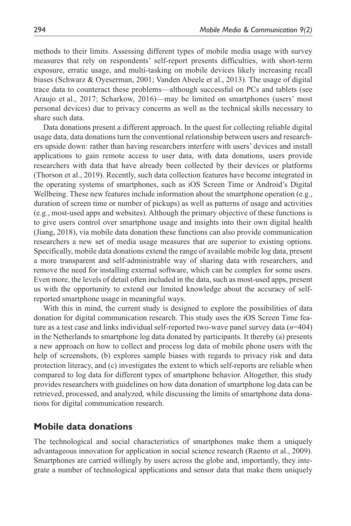methods to their limits. Assessing different types of mobile media usage with survey measures that rely on respondents' self-report presents difficulties, with short-term exposure, erratic usage, and multi-tasking on mobile devices likely increasing recall biases (Schwarz & Oyeserman, 2001; Vanden Abeele et al., 2013). The usage of digital trace data to counteract these problems—although successful on PCs and tablets (see Araujo et al., 2017; Scharkow, 2016)—may be limited on smartphones (users' most personal devices) due to privacy concerns as well as the technical skills necessary to share such data.

Data donations present a different approach. In the quest for collecting reliable digital usage data, data donations turn the conventional relationship between users and researchers upside down: rather than having researchers interfere with users' devices and install applications to gain remote access to user data, with data donations, users provide researchers with data that have already been collected by their devices or platforms (Thorson et al., 2019). Recently, such data collection features have become integrated in the operating systems of smartphones, such as iOS Screen Time or Android's Digital Wellbeing. These new features include information about the smartphone operation (e.g., duration of screen time or number of pickups) as well as patterns of usage and activities (e.g., most-used apps and websites). Although the primary objective of these functions is to give users control over smartphone usage and insights into their own digital health (Jiang, 2018), via mobile data donation these functions can also provide communication researchers a new set of media usage measures that are superior to existing options. Specifically, mobile data donations extend the range of available mobile log data, present a more transparent and self-administrable way of sharing data with researchers, and remove the need for installing external software, which can be complex for some users. Even more, the levels of detail often included in the data, such as most-used apps, present us with the opportunity to extend our limited knowledge about the accuracy of selfreported smartphone usage in meaningful ways.

With this in mind, the current study is designed to explore the possibilities of data donation for digital communication research. This study uses the iOS Screen Time feature as a test case and links individual self-reported two-wave panel survey data (*n*=404) in the Netherlands to smartphone log data donated by participants. It thereby (a) presents a new approach on how to collect and process log data of mobile phone users with the help of screenshots, (b) explores sample biases with regards to privacy risk and data protection literacy, and (c) investigates the extent to which self-reports are reliable when compared to log data for different types of smartphone behavior. Altogether, this study provides researchers with guidelines on how data donation of smartphone log data can be retrieved, processed, and analyzed, while discussing the limits of smartphone data donations for digital communication research.

#### **Mobile data donations**

The technological and social characteristics of smartphones make them a uniquely advantageous innovation for application in social science research (Raento et al., 2009). Smartphones are carried willingly by users across the globe and, importantly, they integrate a number of technological applications and sensor data that make them uniquely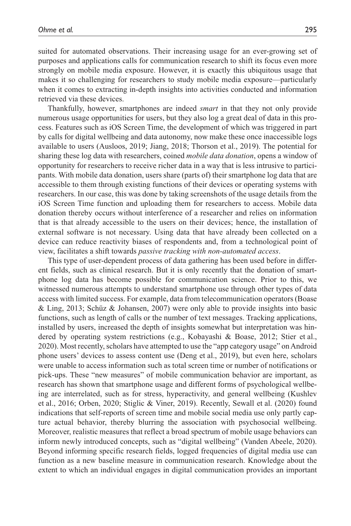suited for automated observations. Their increasing usage for an ever-growing set of purposes and applications calls for communication research to shift its focus even more strongly on mobile media exposure. However, it is exactly this ubiquitous usage that makes it so challenging for researchers to study mobile media exposure—particularly when it comes to extracting in-depth insights into activities conducted and information retrieved via these devices.

Thankfully, however, smartphones are indeed *smart* in that they not only provide numerous usage opportunities for users, but they also log a great deal of data in this process. Features such as iOS Screen Time, the development of which was triggered in part by calls for digital wellbeing and data autonomy, now make these once inaccessible logs available to users (Ausloos, 2019; Jiang, 2018; Thorson et al., 2019). The potential for sharing these log data with researchers, coined *mobile data donation*, opens a window of opportunity for researchers to receive richer data in a way that is less intrusive to participants. With mobile data donation, users share (parts of) their smartphone log data that are accessible to them through existing functions of their devices or operating systems with researchers. In our case, this was done by taking screenshots of the usage details from the iOS Screen Time function and uploading them for researchers to access. Mobile data donation thereby occurs without interference of a researcher and relies on information that is that already accessible to the users on their devices; hence, the installation of external software is not necessary. Using data that have already been collected on a device can reduce reactivity biases of respondents and, from a technological point of view, facilitates a shift towards *passive tracking with non-automated access*.

This type of user-dependent process of data gathering has been used before in different fields, such as clinical research. But it is only recently that the donation of smartphone log data has become possible for communication science. Prior to this, we witnessed numerous attempts to understand smartphone use through other types of data access with limited success. For example, data from telecommunication operators (Boase & Ling, 2013; Schüz & Johansen, 2007) were only able to provide insights into basic functions, such as length of calls or the number of text messages. Tracking applications, installed by users, increased the depth of insights somewhat but interpretation was hindered by operating system restrictions (e.g., Kobayashi & Boase, 2012; Stier et al., 2020). Most recently, scholars have attempted to use the "app category usage" on Android phone users' devices to assess content use (Deng et al., 2019), but even here, scholars were unable to access information such as total screen time or number of notifications or pick-ups. These "new measures" of mobile communication behavior are important, as research has shown that smartphone usage and different forms of psychological wellbeing are interrelated, such as for stress, hyperactivity, and general wellbeing (Kushlev et al., 2016; Orben, 2020; Stiglic & Viner, 2019). Recently, Sewall et al. (2020) found indications that self-reports of screen time and mobile social media use only partly capture actual behavior, thereby blurring the association with psychosocial wellbeing. Moreover, realistic measures that reflect a broad spectrum of mobile usage behaviors can inform newly introduced concepts, such as "digital wellbeing" (Vanden Abeele, 2020). Beyond informing specific research fields, logged frequencies of digital media use can function as a new baseline measure in communication research. Knowledge about the extent to which an individual engages in digital communication provides an important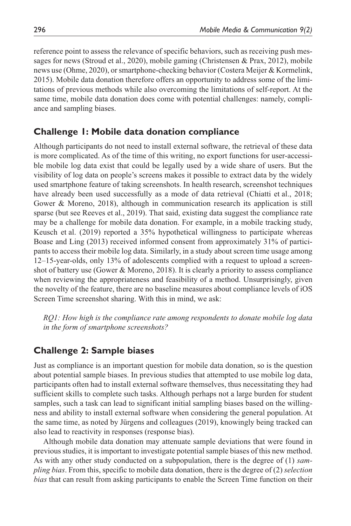reference point to assess the relevance of specific behaviors, such as receiving push messages for news (Stroud et al., 2020), mobile gaming (Christensen & Prax, 2012), mobile news use (Ohme, 2020), or smartphone-checking behavior (Costera Meijer & Kormelink, 2015). Mobile data donation therefore offers an opportunity to address some of the limitations of previous methods while also overcoming the limitations of self-report. At the same time, mobile data donation does come with potential challenges: namely, compliance and sampling biases.

## **Challenge 1: Mobile data donation compliance**

Although participants do not need to install external software, the retrieval of these data is more complicated. As of the time of this writing, no export functions for user-accessible mobile log data exist that could be legally used by a wide share of users. But the visibility of log data on people's screens makes it possible to extract data by the widely used smartphone feature of taking screenshots. In health research, screenshot techniques have already been used successfully as a mode of data retrieval (Chiatti et al., 2018; Gower & Moreno, 2018), although in communication research its application is still sparse (but see Reeves et al., 2019). That said, existing data suggest the compliance rate may be a challenge for mobile data donation. For example, in a mobile tracking study, Keusch et al. (2019) reported a 35% hypothetical willingness to participate whereas Boase and Ling (2013) received informed consent from approximately 31% of participants to access their mobile log data. Similarly, in a study about screen time usage among 12–15-year-olds, only 13% of adolescents complied with a request to upload a screenshot of battery use (Gower & Moreno, 2018). It is clearly a priority to assess compliance when reviewing the appropriateness and feasibility of a method. Unsurprisingly, given the novelty of the feature, there are no baseline measures about compliance levels of iOS Screen Time screenshot sharing. With this in mind, we ask:

*RQ1: How high is the compliance rate among respondents to donate mobile log data in the form of smartphone screenshots?*

## **Challenge 2: Sample biases**

Just as compliance is an important question for mobile data donation, so is the question about potential sample biases. In previous studies that attempted to use mobile log data, participants often had to install external software themselves, thus necessitating they had sufficient skills to complete such tasks. Although perhaps not a large burden for student samples, such a task can lead to significant initial sampling biases based on the willingness and ability to install external software when considering the general population. At the same time, as noted by Jürgens and colleagues (2019), knowingly being tracked can also lead to reactivity in responses (response bias).

Although mobile data donation may attenuate sample deviations that were found in previous studies, it is important to investigate potential sample biases of this new method. As with any other study conducted on a subpopulation, there is the degree of (1) *sampling bias*. From this, specific to mobile data donation, there is the degree of (2) *selection bias* that can result from asking participants to enable the Screen Time function on their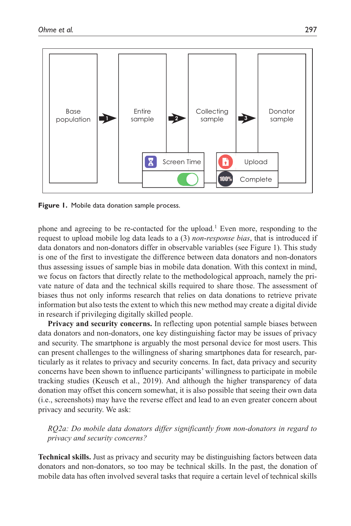

**Figure 1.** Mobile data donation sample process.

phone and agreeing to be re-contacted for the upload.<sup>1</sup> Even more, responding to the request to upload mobile log data leads to a (3) *non*-*response bias*, that is introduced if data donators and non-donators differ in observable variables (see Figure 1). This study is one of the first to investigate the difference between data donators and non-donators thus assessing issues of sample bias in mobile data donation. With this context in mind, we focus on factors that directly relate to the methodological approach, namely the private nature of data and the technical skills required to share those. The assessment of biases thus not only informs research that relies on data donations to retrieve private information but also tests the extent to which this new method may create a digital divide in research if privileging digitally skilled people.

**Privacy and security concerns.** In reflecting upon potential sample biases between data donators and non-donators, one key distinguishing factor may be issues of privacy and security. The smartphone is arguably the most personal device for most users. This can present challenges to the willingness of sharing smartphones data for research, particularly as it relates to privacy and security concerns. In fact, data privacy and security concerns have been shown to influence participants' willingness to participate in mobile tracking studies (Keusch et al., 2019). And although the higher transparency of data donation may offset this concern somewhat, it is also possible that seeing their own data (i.e., screenshots) may have the reverse effect and lead to an even greater concern about privacy and security. We ask:

*RQ2a: Do mobile data donators differ significantly from non-donators in regard to privacy and security concerns?*

**Technical skills.** Just as privacy and security may be distinguishing factors between data donators and non-donators, so too may be technical skills. In the past, the donation of mobile data has often involved several tasks that require a certain level of technical skills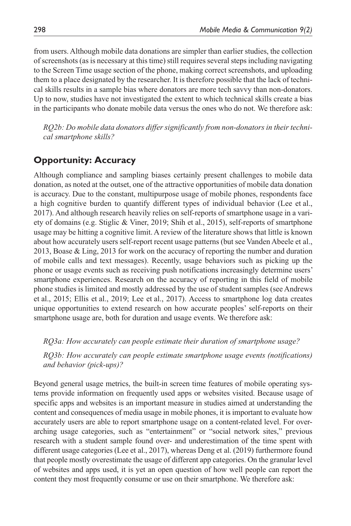from users. Although mobile data donations are simpler than earlier studies, the collection of screenshots (as is necessary at this time) still requires several steps including navigating to the Screen Time usage section of the phone, making correct screenshots, and uploading them to a place designated by the researcher. It is therefore possible that the lack of technical skills results in a sample bias where donators are more tech savvy than non-donators. Up to now, studies have not investigated the extent to which technical skills create a bias in the participants who donate mobile data versus the ones who do not. We therefore ask:

*RQ2b: Do mobile data donators differ significantly from non-donators in their technical smartphone skills?*

## **Opportunity: Accuracy**

Although compliance and sampling biases certainly present challenges to mobile data donation, as noted at the outset, one of the attractive opportunities of mobile data donation is accuracy. Due to the constant, multipurpose usage of mobile phones, respondents face a high cognitive burden to quantify different types of individual behavior (Lee et al., 2017). And although research heavily relies on self-reports of smartphone usage in a variety of domains (e.g. Stiglic & Viner, 2019; Shih et al., 2015), self-reports of smartphone usage may be hitting a cognitive limit. A review of the literature shows that little is known about how accurately users self-report recent usage patterns (but see Vanden Abeele et al., 2013, Boase & Ling, 2013 for work on the accuracy of reporting the number and duration of mobile calls and text messages). Recently, usage behaviors such as picking up the phone or usage events such as receiving push notifications increasingly determine users' smartphone experiences. Research on the accuracy of reporting in this field of mobile phone studies is limited and mostly addressed by the use of student samples (see Andrews et al., 2015; Ellis et al., 2019; Lee et al., 2017). Access to smartphone log data creates unique opportunities to extend research on how accurate peoples' self-reports on their smartphone usage are, both for duration and usage events. We therefore ask:

*RQ3a: How accurately can people estimate their duration of smartphone usage?*

*RQ3b: How accurately can people estimate smartphone usage events (notifications) and behavior (pick-ups)?*

Beyond general usage metrics, the built-in screen time features of mobile operating systems provide information on frequently used apps or websites visited. Because usage of specific apps and websites is an important measure in studies aimed at understanding the content and consequences of media usage in mobile phones, it is important to evaluate how accurately users are able to report smartphone usage on a content-related level. For overarching usage categories, such as "entertainment" or "social network sites," previous research with a student sample found over- and underestimation of the time spent with different usage categories (Lee et al., 2017), whereas Deng et al. (2019) furthermore found that people mostly overestimate the usage of different app categories. On the granular level of websites and apps used, it is yet an open question of how well people can report the content they most frequently consume or use on their smartphone. We therefore ask: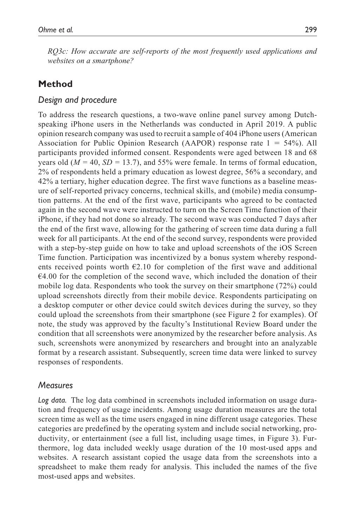*RQ3c: How accurate are self-reports of the most frequently used applications and websites on a smartphone?*

## **Method**

#### *Design and procedure*

To address the research questions, a two-wave online panel survey among Dutchspeaking iPhone users in the Netherlands was conducted in April 2019. A public opinion research company was used to recruit a sample of 404 iPhone users (American Association for Public Opinion Research (AAPOR) response rate  $1 = 54\%$ ). All participants provided informed consent. Respondents were aged between 18 and 68 years old  $(M = 40, SD = 13.7)$ , and 55% were female. In terms of formal education, 2% of respondents held a primary education as lowest degree, 56% a secondary, and 42% a tertiary, higher education degree. The first wave functions as a baseline measure of self-reported privacy concerns, technical skills, and (mobile) media consumption patterns. At the end of the first wave, participants who agreed to be contacted again in the second wave were instructed to turn on the Screen Time function of their iPhone, if they had not done so already. The second wave was conducted 7 days after the end of the first wave, allowing for the gathering of screen time data during a full week for all participants. At the end of the second survey, respondents were provided with a step-by-step guide on how to take and upload screenshots of the iOS Screen Time function. Participation was incentivized by a bonus system whereby respondents received points worth  $\epsilon$ 2.10 for completion of the first wave and additional  $64.00$  for the completion of the second wave, which included the donation of their mobile log data. Respondents who took the survey on their smartphone (72%) could upload screenshots directly from their mobile device. Respondents participating on a desktop computer or other device could switch devices during the survey, so they could upload the screenshots from their smartphone (see Figure 2 for examples). Of note, the study was approved by the faculty's Institutional Review Board under the condition that all screenshots were anonymized by the researcher before analysis. As such, screenshots were anonymized by researchers and brought into an analyzable format by a research assistant. Subsequently, screen time data were linked to survey responses of respondents.

## *Measures*

*Log data.* The log data combined in screenshots included information on usage duration and frequency of usage incidents. Among usage duration measures are the total screen time as well as the time users engaged in nine different usage categories. These categories are predefined by the operating system and include social networking, productivity, or entertainment (see a full list, including usage times, in Figure 3). Furthermore, log data included weekly usage duration of the 10 most-used apps and websites. A research assistant copied the usage data from the screenshots into a spreadsheet to make them ready for analysis. This included the names of the five most-used apps and websites.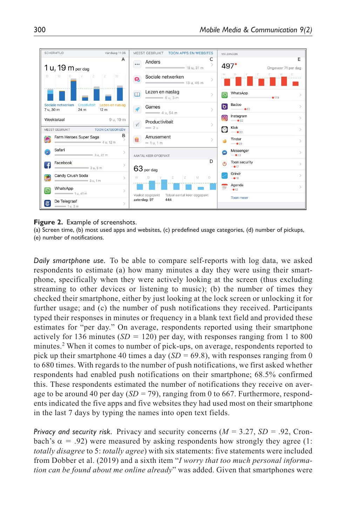| <b>SCHERMTIJD</b><br>Vandaag 11:36                                                        | MEEST GEBRUIKT<br><b>TOON APPS EN WEBSITES</b>                        | MELDINGEN                                      |
|-------------------------------------------------------------------------------------------|-----------------------------------------------------------------------|------------------------------------------------|
| A<br>1 u, 19 m per dag                                                                    | Anders<br><br>$\frac{1}{2}$ 18 u, 31 m                                | E<br>497"<br>Ongeveer 71 per dag               |
| D<br>÷v<br>i z<br>÷Ζ<br>÷м<br>W<br>÷D.                                                    | Sociale netwerken<br>O<br>13 u. 45 m                                  | $V = Z$<br>iz im ip<br>$\Box$<br>W             |
|                                                                                           | Lezen en naslag<br>$\mathcal{P}$<br>6 u, 3 m                          | WhatsApp<br>$\odot$<br>•179                    |
| Sociale netwerken<br>Creativiteit Lezen en naslag<br>12 <sub>m</sub><br>7 u, 30 m<br>24 m | Games<br>4 u, 54 m                                                    | Badoo<br>$\sigma$<br>$\bullet$ 62<br>Instagram |
| Weektotaal<br>9 u, 19 m                                                                   | Productiviteit<br>$\mathcal{P}$<br>7                                  | 0<br>$\bullet$ 32                              |
| <b>TOON CATEGORIEËN</b><br>MEEST GEBRUIKT                                                 | $=2u$                                                                 | Klok<br>$-$ 30                                 |
| в<br>Farm Heroes Super Saga<br>e.<br>Sup<br>4 u, 12 m                                     | Amusement<br>W.<br>$= 1 u, 1 m$                                       | Tinder<br>$-28$                                |
| Safari<br>$\mathcal{L}$<br>3 u, 27 m                                                      | AANTAL KEER OPGEPAKT                                                  | Messenger<br>$-23$                             |
| Facebook<br>$\rightarrow$<br>3 u.5 m                                                      | D<br>63 per dag                                                       | Toon security<br>ጣ<br>$-0.17$                  |
| Candy Crush Soda<br><b>SA</b><br>$\searrow$                                               | i v<br>$Z = Z$<br>i M<br>W<br>D<br>D                                  | Grindr<br>$-0.16$                              |
| WhatsApp<br>$\odot$                                                                       |                                                                       | Agenda<br>÷<br>$-0.12$                         |
| 1 u, 41 m<br>De Telegraaf<br>T<br>$\mathcal{L}$<br>$-$ 1 u, 2 m                           | Vaakst opgepakt<br>Totaal aantal keer opgepakt<br>zaterdag: 97<br>444 | <b>Toon meer</b>                               |

**Figure 2.** Example of screenshots.

(a) Screen time, (b) most used apps and websites, (c) predefined usage categories, (d) number of pickups,

(e) number of notifications.

*Daily smartphone use.* To be able to compare self-reports with log data, we asked respondents to estimate (a) how many minutes a day they were using their smartphone, specifically when they were actively looking at the screen (thus excluding streaming to other devices or listening to music); (b) the number of times they checked their smartphone, either by just looking at the lock screen or unlocking it for further usage; and (c) the number of push notifications they received. Participants typed their responses in minutes or frequency in a blank text field and provided these estimates for "per day." On average, respondents reported using their smartphone actively for 136 minutes  $(SD = 120)$  per day, with responses ranging from 1 to 800 minutes.<sup>2</sup> When it comes to number of pick-ups, on average, respondents reported to pick up their smartphone 40 times a day (*SD =* 69.8), with responses ranging from 0 to 680 times. With regards to the number of push notifications, we first asked whether respondents had enabled push notifications on their smartphone; 68.5% confirmed this. These respondents estimated the number of notifications they receive on average to be around 40 per day (*SD =* 79), ranging from 0 to 667. Furthermore, respondents indicated the five apps and five websites they had used most on their smartphone in the last 7 days by typing the names into open text fields.

*Privacy and security risk.* Privacy and security concerns (*M =* 3.27, *SD =* .92, Cronbach's  $\alpha$  = .92) were measured by asking respondents how strongly they agree (1: *totally disagree* to 5: *totally agree*) with six statements: five statements were included from Dobber et al. (2019) and a sixth item "*I worry that too much personal information can be found about me online already*" was added. Given that smartphones were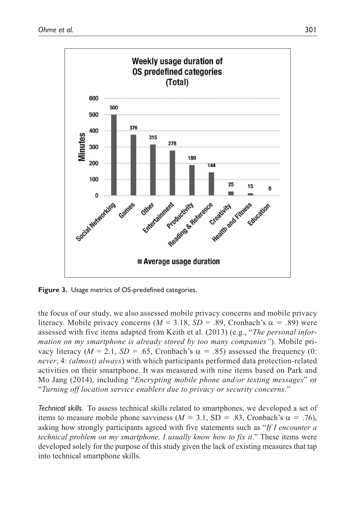

**Figure 3.** Usage metrics of OS-predefined categories.

the focus of our study, we also assessed mobile privacy concerns and mobile privacy literacy. Mobile privacy concerns ( $M = 3.18$ ,  $SD = .89$ , Cronbach's  $\alpha = .89$ ) were assessed with five items adapted from Keith et al. (2013) (e.g., "*The personal information on my smartphone is already stored by too many companies"*). Mobile privacy literacy ( $M = 2.1$ ,  $SD = .65$ , Cronbach's  $\alpha = .85$ ) assessed the frequency (0: *never*, 4: *(almost) always*) with which participants performed data protection-related activities on their smartphone. It was measured with nine items based on Park and Mo Jang (2014), including "*Encrypting mobile phone and/or texting messages*" or "*Turning off location service enablers due to privacy or security concerns.*"

*Technical skills.* To assess technical skills related to smartphones, we developed a set of items to measure mobile phone savviness ( $M = 3.1$ , SD = .83, Cronbach's  $\alpha = .76$ ), asking how strongly participants agreed with five statements such as "*If I encounter a technical problem on my smartphone, I usually know how to fix it.*" These items were developed solely for the purpose of this study given the lack of existing measures that tap into technical smartphone skills.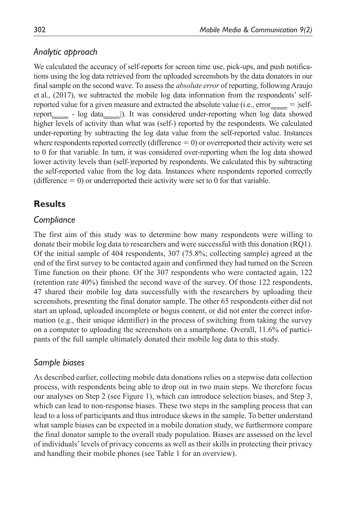#### *Analytic approach*

We calculated the accuracy of self-reports for screen time use, pick-ups, and push notifications using the log data retrieved from the uploaded screenshots by the data donators in our final sample on the second wave. To assess the *absolute error* of reporting, following Araujo et al., (2017), we subtracted the mobile log data information from the respondents' selfreported value for a given measure and extracted the absolute value (i.e.,  $error_{\text{measure}} = |self$ report<sub>measure</sub> - log data<sub>measure</sub>). It was considered under-reporting when log data showed higher levels of activity than what was (self-) reported by the respondents. We calculated under-reporting by subtracting the log data value from the self-reported value. Instances where respondents reported correctly (difference  $= 0$ ) or overreported their activity were set to 0 for that variable. In turn, it was considered over-reporting when the log data showed lower activity levels than (self-)reported by respondents. We calculated this by subtracting the self-reported value from the log data. Instances where respondents reported correctly (difference  $= 0$ ) or underreported their activity were set to 0 for that variable.

## **Results**

#### *Compliance*

The first aim of this study was to determine how many respondents were willing to donate their mobile log data to researchers and were successful with this donation (RQ1). Of the initial sample of 404 respondents, 307 (75.8%; collecting sample) agreed at the end of the first survey to be contacted again and confirmed they had turned on the Screen Time function on their phone. Of the 307 respondents who were contacted again, 122 (retention rate 40%) finished the second wave of the survey. Of those 122 respondents, 47 shared their mobile log data successfully with the researchers by uploading their screenshots, presenting the final donator sample. The other 65 respondents either did not start an upload, uploaded incomplete or bogus content, or did not enter the correct information (e.g., their unique identifier) in the process of switching from taking the survey on a computer to uploading the screenshots on a smartphone. Overall, 11.6% of participants of the full sample ultimately donated their mobile log data to this study.

#### *Sample biases*

As described earlier, collecting mobile data donations relies on a stepwise data collection process, with respondents being able to drop out in two main steps. We therefore focus our analyses on Step 2 (see Figure 1), which can introduce selection biases, and Step 3, which can lead to non-response biases. These two steps in the sampling process that can lead to a loss of participants and thus introduce skews in the sample. To better understand what sample biases can be expected in a mobile donation study, we furthermore compare the final donator sample to the overall study population. Biases are assessed on the level of individuals' levels of privacy concerns as well as their skills in protecting their privacy and handling their mobile phones (see Table 1 for an overview).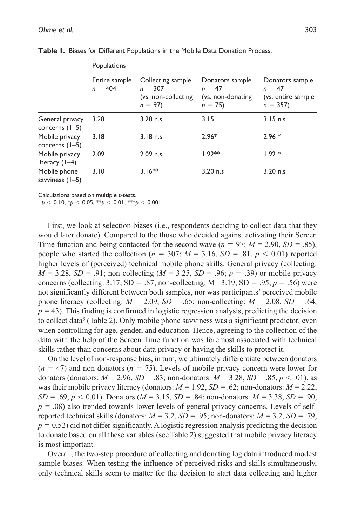|                                   | Populations                |                                                                   |                                                               |                                                                 |  |  |  |
|-----------------------------------|----------------------------|-------------------------------------------------------------------|---------------------------------------------------------------|-----------------------------------------------------------------|--|--|--|
|                                   | Entire sample<br>$n = 404$ | Collecting sample<br>$n = 307$<br>(vs. non-collecting<br>$n = 97$ | Donators sample<br>$n = 47$<br>(vs. non-donating)<br>$n = 75$ | Donators sample<br>$n = 47$<br>(vs. entire sample)<br>$n = 357$ |  |  |  |
| General privacy<br>concerns (1–5) | 3.28                       | $3.28$ n.s                                                        | $3.15+$                                                       | $3.15$ n.s.                                                     |  |  |  |
| Mobile privacy<br>concerns (1–5)  | 3.18                       | $3.18$ n.s                                                        | $2.96*$                                                       | $2.96*$                                                         |  |  |  |
| Mobile privacy<br>literacy (1–4)  | 2.09                       | $2.09$ n.s                                                        | $1.92**$                                                      | $1.92*$                                                         |  |  |  |
| Mobile phone<br>savviness (1–5)   | 3.10                       | $3.16***$                                                         | $3.20$ n.s                                                    | $3.20$ n.s                                                      |  |  |  |

**Table 1.** Biases for Different Populations in the Mobile Data Donation Process.

Calculations based on multiple t-tests.

 $^{+}p$  < 0.10,  $^{*}p$  < 0.05,  $^{**}p$  < 0.01,  $^{***}p$  < 0.001

First, we look at selection biases (i.e., respondents deciding to collect data that they would later donate). Compared to the those who decided against activating their Screen Time function and being contacted for the second wave ( $n = 97$ ;  $M = 2.90$ ,  $SD = .85$ ), people who started the collection ( $n = 307$ ;  $M = 3.16$ ,  $SD = .81$ ,  $p < 0.01$ ) reported higher levels of (perceived) technical mobile phone skills. General privacy (collecting: *M =* 3.28, *SD =* .91; non-collecting (*M =* 3.25, *SD =* .96; *p* = .39) or mobile privacy concerns (collecting:  $3.17$ , SD =  $.87$ ; non-collecting: M=  $3.19$ , SD =  $.95$ ,  $p = .56$ ) were not significantly different between both samples, nor was participants' perceived mobile phone literacy (collecting:  $M = 2.09$ ,  $SD = .65$ ; non-collecting:  $M = 2.08$ ,  $SD = .64$ ,  $p = 43$ ). This finding is confirmed in logistic regression analysis, predicting the decision to collect data<sup>3</sup> (Table 2). Only mobile phone savviness was a significant predictor, even when controlling for age, gender, and education. Hence, agreeing to the collection of the data with the help of the Screen Time function was foremost associated with technical skills rather than concerns about data privacy or having the skills to protect it.

On the level of non-response bias, in turn, we ultimately differentiate between donators (*n* = 47) and non-donators (*n* = 75). Levels of mobile privacy concern were lower for donators (donators:  $M = 2.96$ ,  $SD = .83$ ; non-donators:  $M = 3.28$ ,  $SD = .85$ ,  $p < .01$ ), as was their mobile privacy literacy (donators: *M =* 1.92, *SD =* .62; non-donators: *M =* 2.22, *SD =* .69, *p* < 0.01). Donators (*M =* 3.15, *SD =* .84; non-donators: *M =* 3.38, *SD =* .90, *p =* .08) also trended towards lower levels of general privacy concerns. Levels of selfreported technical skills (donators:  $M = 3.2$ ,  $SD = .95$ ; non-donators:  $M = 3.2$ ,  $SD = .79$ ,  $p = 0.52$ ) did not differ significantly. A logistic regression analysis predicting the decision to donate based on all these variables (see Table 2) suggested that mobile privacy literacy is most important.

Overall, the two-step procedure of collecting and donating log data introduced modest sample biases. When testing the influence of perceived risks and skills simultaneously, only technical skills seem to matter for the decision to start data collecting and higher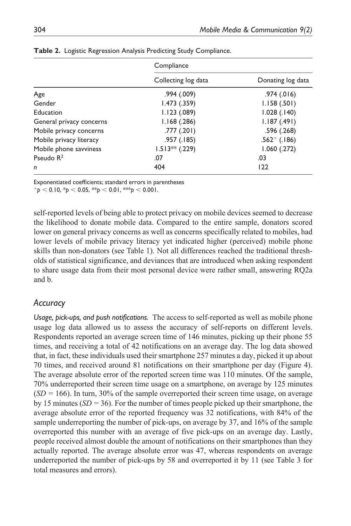|                          | Compliance          |                   |  |
|--------------------------|---------------------|-------------------|--|
|                          | Collecting log data | Donating log data |  |
| Age                      | .994(.009)          | .974(.016)        |  |
| Gender                   | 1.473(.359)         | 1.158(.501)       |  |
| Education                | 1.123(0.089)        | 1.028(.140)       |  |
| General privacy concerns | $1.168$ $(.286)$    | 1.187(.491)       |  |
| Mobile privacy concerns  | .777(.201)          | .596(.268)        |  |
| Mobile privacy literacy  | .957(.185)          | $.562^{+}$ (.186) |  |
| Mobile phone savviness   | $1.513**$ (.229)    | 1.060(0.272)      |  |
| Pseudo $R^2$             | .07                 | .03               |  |
| n                        | 404                 | 122               |  |

**Table 2.** Logistic Regression Analysis Predicting Study Compliance.

Exponentiated coefficients; standard errors in parentheses

 $^{+}p$  < 0.10,  $^{*}p$  < 0.05,  $^{**}p$  < 0.01,  $^{***}p$  < 0.001.

self-reported levels of being able to protect privacy on mobile devices seemed to decrease the likelihood to donate mobile data. Compared to the entire sample, donators scored lower on general privacy concerns as well as concerns specifically related to mobiles, had lower levels of mobile privacy literacy yet indicated higher (perceived) mobile phone skills than non-donators (see Table 1). Not all differences reached the traditional thresholds of statistical significance, and deviances that are introduced when asking respondent to share usage data from their most personal device were rather small, answering RQ2a and b.

#### *Accuracy*

*Usage, pick-ups, and push notifications.* The access to self-reported as well as mobile phone usage log data allowed us to assess the accuracy of self-reports on different levels. Respondents reported an average screen time of 146 minutes, picking up their phone 55 times, and receiving a total of 42 notifications on an average day. The log data showed that, in fact, these individuals used their smartphone 257 minutes a day, picked it up about 70 times, and received around 81 notifications on their smartphone per day (Figure 4). The average absolute error of the reported screen time was 110 minutes. Of the sample, 70% underreported their screen time usage on a smartphone, on average by 125 minutes  $(SD = 166)$ . In turn, 30% of the sample overreported their screen time usage, on average by 15 minutes (*SD =* 36). For the number of times people picked up their smartphone, the average absolute error of the reported frequency was 32 notifications, with 84% of the sample underreporting the number of pick-ups, on average by 37, and 16% of the sample overreported this number with an average of five pick-ups on an average day. Lastly, people received almost double the amount of notifications on their smartphones than they actually reported. The average absolute error was 47, whereas respondents on average underreported the number of pick-ups by 58 and overreported it by 11 (see Table 3 for total measures and errors).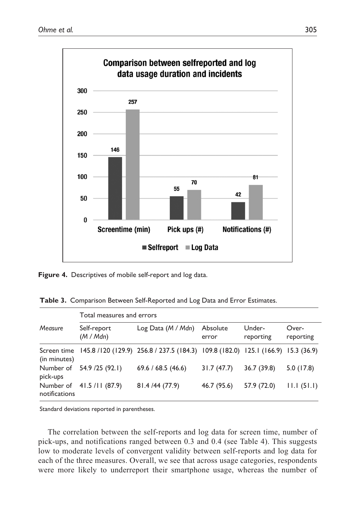

**Figure 4.** Descriptives of mobile self-report and log data.

|  | Table 3. Comparison Between Self-Reported and Log Data and Error Estimates. |  |  |  |  |  |  |
|--|-----------------------------------------------------------------------------|--|--|--|--|--|--|
|--|-----------------------------------------------------------------------------|--|--|--|--|--|--|

|                            | Total measures and errors |                                                                                              |                   |                     |                    |  |  |
|----------------------------|---------------------------|----------------------------------------------------------------------------------------------|-------------------|---------------------|--------------------|--|--|
| Measure                    | Self-report<br>(M/Mdn)    | Log Data $(M/Mdn)$                                                                           | Absolute<br>error | Under-<br>reporting | Over-<br>reporting |  |  |
| (in minutes)               |                           | Screen time 145.8 /120 (129.9) 256.8 / 237.5 (184.3) 109.8 (182.0) 125.1 (166.9) 15.3 (36.9) |                   |                     |                    |  |  |
| Number of<br>pick-ups      | 54.9 /25 (92.1)           | 69.6 / 68.5 (46.6)                                                                           | 31.7(47.7)        | 36.7 (39.8)         | 5.0(17.8)          |  |  |
| Number of<br>notifications | 41.5 / 11 (87.9)          | 81.4/44 (77.9)                                                                               | 46.7 (95.6)       | 57.9 (72.0)         | 11.1(51.1)         |  |  |

Standard deviations reported in parentheses.

The correlation between the self-reports and log data for screen time, number of pick-ups, and notifications ranged between 0.3 and 0.4 (see Table 4). This suggests low to moderate levels of convergent validity between self-reports and log data for each of the three measures. Overall, we see that across usage categories, respondents were more likely to underreport their smartphone usage, whereas the number of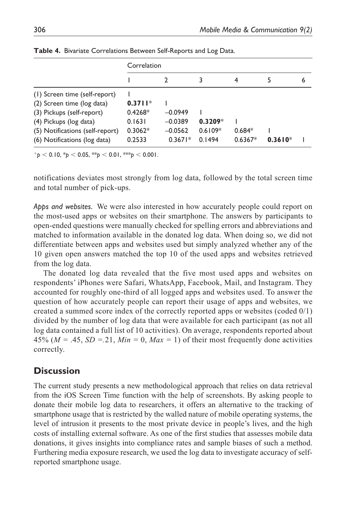|                                 | Correlation |           |           |           |           |   |  |
|---------------------------------|-------------|-----------|-----------|-----------|-----------|---|--|
|                                 |             |           |           | 4         | 5         | 6 |  |
| (1) Screen time (self-report)   |             |           |           |           |           |   |  |
| (2) Screen time (log data)      | $0.3711*$   |           |           |           |           |   |  |
| (3) Pickups (self-report)       | $0.4268*$   | $-0.0949$ |           |           |           |   |  |
| (4) Pickups (log data)          | 0.1631      | $-0.0389$ | $0.3209*$ |           |           |   |  |
| (5) Notifications (self-report) | $0.3062*$   | $-0.0562$ | $0.6109*$ | $0.684*$  |           |   |  |
| (6) Notifications (log data)    | 0.2533      | $0.3671*$ | 0.1494    | $0.6367*$ | $0.3610*$ |   |  |
|                                 |             |           |           |           |           |   |  |

**Table 4.** Bivariate Correlations Between Self-Reports and Log Data.

 $^{+}p$  < 0.10,  $^{*}p$  < 0.05,  $^{**}p$  < 0.01,  $^{***}p$  < 0.001.

notifications deviates most strongly from log data, followed by the total screen time and total number of pick-ups.

*Apps and websites.* We were also interested in how accurately people could report on the most-used apps or websites on their smartphone. The answers by participants to open-ended questions were manually checked for spelling errors and abbreviations and matched to information available in the donated log data. When doing so, we did not differentiate between apps and websites used but simply analyzed whether any of the 10 given open answers matched the top 10 of the used apps and websites retrieved from the log data.

The donated log data revealed that the five most used apps and websites on respondents' iPhones were Safari, WhatsApp, Facebook, Mail, and Instagram. They accounted for roughly one-third of all logged apps and websites used. To answer the question of how accurately people can report their usage of apps and websites, we created a summed score index of the correctly reported apps or websites (coded 0/1) divided by the number of log data that were available for each participant (as not all log data contained a full list of 10 activities). On average, respondents reported about 45% (*M =* .45, *SD =.*21, *Min =* 0, *Max =* 1) of their most frequently done activities correctly.

#### **Discussion**

The current study presents a new methodological approach that relies on data retrieval from the iOS Screen Time function with the help of screenshots. By asking people to donate their mobile log data to researchers, it offers an alternative to the tracking of smartphone usage that is restricted by the walled nature of mobile operating systems, the level of intrusion it presents to the most private device in people's lives, and the high costs of installing external software. As one of the first studies that assesses mobile data donations, it gives insights into compliance rates and sample biases of such a method. Furthering media exposure research, we used the log data to investigate accuracy of selfreported smartphone usage.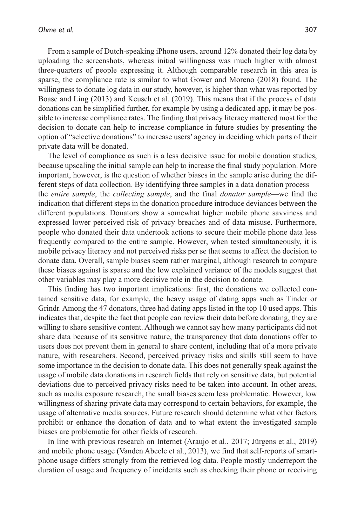From a sample of Dutch-speaking iPhone users, around 12% donated their log data by uploading the screenshots, whereas initial willingness was much higher with almost three-quarters of people expressing it. Although comparable research in this area is sparse, the compliance rate is similar to what Gower and Moreno (2018) found. The willingness to donate log data in our study, however, is higher than what was reported by Boase and Ling (2013) and Keusch et al. (2019). This means that if the process of data donations can be simplified further, for example by using a dedicated app, it may be possible to increase compliance rates. The finding that privacy literacy mattered most for the decision to donate can help to increase compliance in future studies by presenting the option of "selective donations" to increase users' agency in deciding which parts of their private data will be donated.

The level of compliance as such is a less decisive issue for mobile donation studies, because upscaling the initial sample can help to increase the final study population. More important, however, is the question of whether biases in the sample arise during the different steps of data collection. By identifying three samples in a data donation process the *entire sample*, the *collecting sample*, and the final *donator sample*—we find the indication that different steps in the donation procedure introduce deviances between the different populations. Donators show a somewhat higher mobile phone savviness and expressed lower perceived risk of privacy breaches and of data misuse. Furthermore, people who donated their data undertook actions to secure their mobile phone data less frequently compared to the entire sample. However, when tested simultaneously, it is mobile privacy literacy and not perceived risks per se that seems to affect the decision to donate data. Overall, sample biases seem rather marginal, although research to compare these biases against is sparse and the low explained variance of the models suggest that other variables may play a more decisive role in the decision to donate.

This finding has two important implications: first, the donations we collected contained sensitive data, for example, the heavy usage of dating apps such as Tinder or Grindr. Among the 47 donators, three had dating apps listed in the top 10 used apps. This indicates that, despite the fact that people can review their data before donating, they are willing to share sensitive content. Although we cannot say how many participants did not share data because of its sensitive nature, the transparency that data donations offer to users does not prevent them in general to share content, including that of a more private nature, with researchers. Second, perceived privacy risks and skills still seem to have some importance in the decision to donate data. This does not generally speak against the usage of mobile data donations in research fields that rely on sensitive data, but potential deviations due to perceived privacy risks need to be taken into account. In other areas, such as media exposure research, the small biases seem less problematic. However, low willingness of sharing private data may correspond to certain behaviors, for example, the usage of alternative media sources. Future research should determine what other factors prohibit or enhance the donation of data and to what extent the investigated sample biases are problematic for other fields of research.

In line with previous research on Internet (Araujo et al., 2017; Jürgens et al., 2019) and mobile phone usage (Vanden Abeele et al., 2013), we find that self-reports of smartphone usage differs strongly from the retrieved log data. People mostly underreport the duration of usage and frequency of incidents such as checking their phone or receiving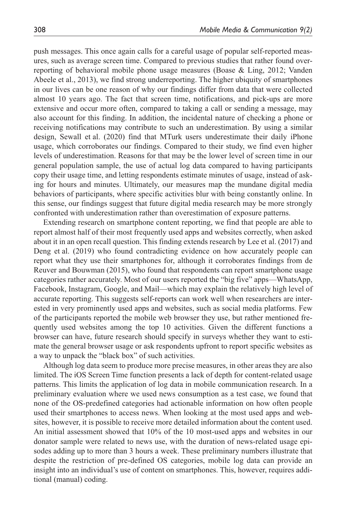push messages. This once again calls for a careful usage of popular self-reported measures, such as average screen time. Compared to previous studies that rather found overreporting of behavioral mobile phone usage measures (Boase & Ling, 2012; Vanden Abeele et al., 2013), we find strong underreporting. The higher ubiquity of smartphones in our lives can be one reason of why our findings differ from data that were collected almost 10 years ago. The fact that screen time, notifications, and pick-ups are more extensive and occur more often, compared to taking a call or sending a message, may also account for this finding. In addition, the incidental nature of checking a phone or receiving notifications may contribute to such an underestimation. By using a similar design, Sewall et al. (2020) find that MTurk users underestimate their daily iPhone usage, which corroborates our findings. Compared to their study, we find even higher levels of underestimation. Reasons for that may be the lower level of screen time in our general population sample, the use of actual log data compared to having participants copy their usage time, and letting respondents estimate minutes of usage, instead of asking for hours and minutes. Ultimately, our measures map the mundane digital media behaviors of participants, where specific activities blur with being constantly online. In this sense, our findings suggest that future digital media research may be more strongly confronted with underestimation rather than overestimation of exposure patterns.

Extending research on smartphone content reporting, we find that people are able to report almost half of their most frequently used apps and websites correctly, when asked about it in an open recall question. This finding extends research by Lee et al. (2017) and Deng et al. (2019) who found contradicting evidence on how accurately people can report what they use their smartphones for, although it corroborates findings from de Reuver and Bouwman (2015), who found that respondents can report smartphone usage categories rather accurately. Most of our users reported the "big five" apps—WhatsApp, Facebook, Instagram, Google, and Mail—which may explain the relatively high level of accurate reporting. This suggests self-reports can work well when researchers are interested in very prominently used apps and websites, such as social media platforms. Few of the participants reported the mobile web browser they use, but rather mentioned frequently used websites among the top 10 activities. Given the different functions a browser can have, future research should specify in surveys whether they want to estimate the general browser usage or ask respondents upfront to report specific websites as a way to unpack the "black box" of such activities.

Although log data seem to produce more precise measures, in other areas they are also limited. The iOS Screen Time function presents a lack of depth for content-related usage patterns. This limits the application of log data in mobile communication research. In a preliminary evaluation where we used news consumption as a test case, we found that none of the OS-predefined categories had actionable information on how often people used their smartphones to access news. When looking at the most used apps and websites, however, it is possible to receive more detailed information about the content used. An initial assessment showed that 10% of the 10 most-used apps and websites in our donator sample were related to news use, with the duration of news-related usage episodes adding up to more than 3 hours a week. These preliminary numbers illustrate that despite the restriction of pre-defined OS categories, mobile log data can provide an insight into an individual's use of content on smartphones. This, however, requires additional (manual) coding.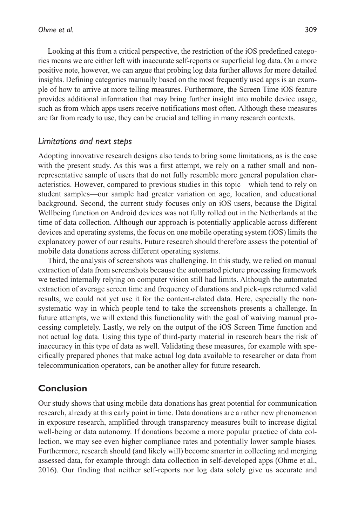Looking at this from a critical perspective, the restriction of the iOS predefined categories means we are either left with inaccurate self-reports or superficial log data. On a more positive note, however, we can argue that probing log data further allows for more detailed insights. Defining categories manually based on the most frequently used apps is an example of how to arrive at more telling measures. Furthermore, the Screen Time iOS feature provides additional information that may bring further insight into mobile device usage, such as from which apps users receive notifications most often. Although these measures are far from ready to use, they can be crucial and telling in many research contexts.

#### *Limitations and next steps*

Adopting innovative research designs also tends to bring some limitations, as is the case with the present study. As this was a first attempt, we rely on a rather small and nonrepresentative sample of users that do not fully resemble more general population characteristics. However, compared to previous studies in this topic—which tend to rely on student samples—our sample had greater variation on age, location, and educational background. Second, the current study focuses only on iOS users, because the Digital Wellbeing function on Android devices was not fully rolled out in the Netherlands at the time of data collection. Although our approach is potentially applicable across different devices and operating systems, the focus on one mobile operating system (iOS) limits the explanatory power of our results. Future research should therefore assess the potential of mobile data donations across different operating systems.

Third, the analysis of screenshots was challenging. In this study, we relied on manual extraction of data from screenshots because the automated picture processing framework we tested internally relying on computer vision still had limits. Although the automated extraction of average screen time and frequency of durations and pick-ups returned valid results, we could not yet use it for the content-related data. Here, especially the nonsystematic way in which people tend to take the screenshots presents a challenge. In future attempts, we will extend this functionality with the goal of waiving manual processing completely. Lastly, we rely on the output of the iOS Screen Time function and not actual log data. Using this type of third-party material in research bears the risk of inaccuracy in this type of data as well. Validating these measures, for example with specifically prepared phones that make actual log data available to researcher or data from telecommunication operators, can be another alley for future research.

## **Conclusion**

Our study shows that using mobile data donations has great potential for communication research, already at this early point in time. Data donations are a rather new phenomenon in exposure research, amplified through transparency measures built to increase digital well-being or data autonomy. If donations become a more popular practice of data collection, we may see even higher compliance rates and potentially lower sample biases. Furthermore, research should (and likely will) become smarter in collecting and merging assessed data, for example through data collection in self-developed apps (Ohme et al., 2016). Our finding that neither self-reports nor log data solely give us accurate and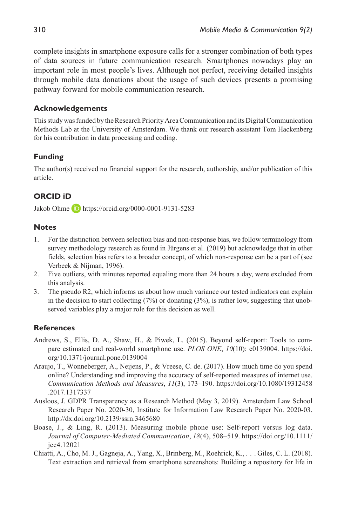complete insights in smartphone exposure calls for a stronger combination of both types of data sources in future communication research. Smartphones nowadays play an important role in most people's lives. Although not perfect, receiving detailed insights through mobile data donations about the usage of such devices presents a promising pathway forward for mobile communication research.

#### **Acknowledgements**

This study was funded by the Research Priority Area Communication and its Digital Communication Methods Lab at the University of Amsterdam. We thank our research assistant Tom Hackenberg for his contribution in data processing and coding.

#### **Funding**

The author(s) received no financial support for the research, authorship, and/or publication of this article.

#### **ORCID iD**

Jakob Ohme **D** <https://orcid.org/0000-0001-9131-5283>

#### **Notes**

- 1. For the distinction between selection bias and non-response bias, we follow terminology from survey methodology research as found in Jürgens et al. (2019) but acknowledge that in other fields, selection bias refers to a broader concept, of which non-response can be a part of (see Verbeek & Nijman, 1996).
- 2. Five outliers, with minutes reported equaling more than 24 hours a day, were excluded from this analysis.
- 3. The pseudo R2, which informs us about how much variance our tested indicators can explain in the decision to start collecting  $(7%)$  or donating  $(3%)$ , is rather low, suggesting that unobserved variables play a major role for this decision as well.

#### **References**

- Andrews, S., Ellis, D. A., Shaw, H., & Piwek, L. (2015). Beyond self-report: Tools to compare estimated and real-world smartphone use. *PLOS ONE*, *10*(10): e0139004. [https://doi.](https://doi.org/10.1371/journal.pone.0139004) [org/10.1371/journal.pone.0139004](https://doi.org/10.1371/journal.pone.0139004)
- Araujo, T., Wonneberger, A., Neijens, P., & Vreese, C. de. (2017). How much time do you spend online? Understanding and improving the accuracy of self-reported measures of internet use. *Communication Methods and Measures*, *11*(3), 173–190. [https://doi.org/10.1080/19312458](https://doi.org/10.1080/19312458.2017.1317337) [.2017.1317337](https://doi.org/10.1080/19312458.2017.1317337)
- Ausloos, J. GDPR Transparency as a Research Method (May 3, 2019). Amsterdam Law School Research Paper No. 2020-30, Institute for Information Law Research Paper No. 2020-03. <http://dx.doi.org/10.2139/ssrn.3465680>
- Boase, J., & Ling, R. (2013). Measuring mobile phone use: Self-report versus log data. *Journal of Computer-Mediated Communication*, *18*(4), 508–519. [https://doi.org/10.1111/](https://doi.org/10.1111/jcc4.12021) [jcc4.12021](https://doi.org/10.1111/jcc4.12021)
- Chiatti, A., Cho, M. J., Gagneja, A., Yang, X., Brinberg, M., Roehrick, K., . . . Giles, C. L. (2018). Text extraction and retrieval from smartphone screenshots: Building a repository for life in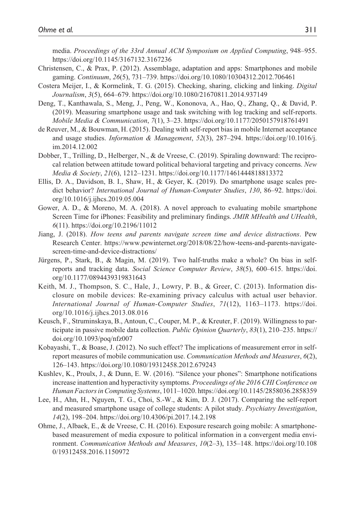media. *Proceedings of the 33rd Annual ACM Symposium on Applied Computing*, 948–955. <https://doi.org/10.1145/3167132.3167236>

- Christensen, C., & Prax, P. (2012). Assemblage, adaptation and apps: Smartphones and mobile gaming. *Continuum*, *26*(5), 731–739.<https://doi.org/10.1080/10304312.2012.706461>
- Costera Meijer, I., & Kormelink, T. G. (2015). Checking, sharing, clicking and linking. *Digital Journalism*, *3*(5), 664–679. <https://doi.org/10.1080/21670811.2014.937149>
- Deng, T., Kanthawala, S., Meng, J., Peng, W., Kononova, A., Hao, Q., Zhang, Q., & David, P. (2019). Measuring smartphone usage and task switching with log tracking and self-reports. *Mobile Media & Communication*, *7*(1), 3–23.<https://doi.org/10.1177/2050157918761491>
- de Reuver, M., & Bouwman, H. (2015). Dealing with self-report bias in mobile Internet acceptance and usage studies. *Information & Management*, *52*(3), 287–294. [https://doi.org/10.1016/j.](https://doi.org/10.1016/j.im.2014.12.002) [im.2014.12.002](https://doi.org/10.1016/j.im.2014.12.002)
- Dobber, T., Trilling, D., Helberger, N., & de Vreese, C. (2019). Spiraling downward: The reciprocal relation between attitude toward political behavioral targeting and privacy concerns. *New Media & Society*, *21*(6), 1212–1231.<https://doi.org/10.1177/1461444818813372>
- Ellis, D. A., Davidson, B. I., Shaw, H., & Geyer, K. (2019). Do smartphone usage scales predict behavior? *International Journal of Human-Computer Studies*, *130*, 86–92. [https://doi.](https://doi.org/10.1016/j.ijhcs.2019.05.004) [org/10.1016/j.ijhcs.2019.05.004](https://doi.org/10.1016/j.ijhcs.2019.05.004)
- Gower, A. D., & Moreno, M. A. (2018). A novel approach to evaluating mobile smartphone Screen Time for iPhones: Feasibility and preliminary findings. *JMIR MHealth and UHealth*, *6*(11).<https://doi.org/10.2196/11012>
- Jiang, J. (2018). *How teens and parents navigate screen time and device distractions*. Pew Research Center. [https://www.pewinternet.org/2018/08/22/how-teens-and-parents-navigate](https://www.pewinternet.org/2018/08/22/how-teens-and-parents-navigate-screen-time-and-device-distractions/)[screen-time-and-device-distractions/](https://www.pewinternet.org/2018/08/22/how-teens-and-parents-navigate-screen-time-and-device-distractions/)
- Jürgens, P., Stark, B., & Magin, M. (2019). Two half-truths make a whole? On bias in selfreports and tracking data. *Social Science Computer Review*, *38*(5), 600–615. [https://doi.](https://doi.org/10.1177/0894439319831643) [org/10.1177/0894439319831643](https://doi.org/10.1177/0894439319831643)
- Keith, M. J., Thompson, S. C., Hale, J., Lowry, P. B., & Greer, C. (2013). Information disclosure on mobile devices: Re-examining privacy calculus with actual user behavior. *International Journal of Human-Computer Studies*, *71*(12), 1163–1173. [https://doi.](https://doi.org/10.1016/j.ijhcs.2013.08.016) [org/10.1016/j.ijhcs.2013.08.016](https://doi.org/10.1016/j.ijhcs.2013.08.016)
- Keusch, F., Struminskaya, B., Antoun, C., Couper, M. P., & Kreuter, F. (2019). Willingness to participate in passive mobile data collection. *Public Opinion Quarterly*, *83*(1), 210–235. [https://](https://doi.org/10.1093/poq/nfz007) [doi.org/10.1093/poq/nfz007](https://doi.org/10.1093/poq/nfz007)
- Kobayashi, T., & Boase, J. (2012). No such effect? The implications of measurement error in selfreport measures of mobile communication use. *Communication Methods and Measures*, *6*(2), 126–143.<https://doi.org/10.1080/19312458.2012.679243>
- Kushlev, K., Proulx, J., & Dunn, E. W. (2016). "Silence your phones": Smartphone notifications increase inattention and hyperactivity symptoms. *Proceedings of the 2016 CHI Conference on Human Factors in Computing Systems*, 1011–1020.<https://doi.org/10.1145/2858036.2858359>
- Lee, H., Ahn, H., Nguyen, T. G., Choi, S.-W., & Kim, D. J. (2017). Comparing the self-report and measured smartphone usage of college students: A pilot study. *Psychiatry Investigation*, *14*(2), 198–204.<https://doi.org/10.4306/pi.2017.14.2.198>
- Ohme, J., Albaek, E., & de Vreese, C. H. (2016). Exposure research going mobile: A smartphonebased measurement of media exposure to political information in a convergent media environment. *Communication Methods and Measures*, *10*(2–3), 135–148. [https://doi.org/10.108](https://doi.org/10.1080/19312458.2016.1150972) [0/19312458.2016.1150972](https://doi.org/10.1080/19312458.2016.1150972)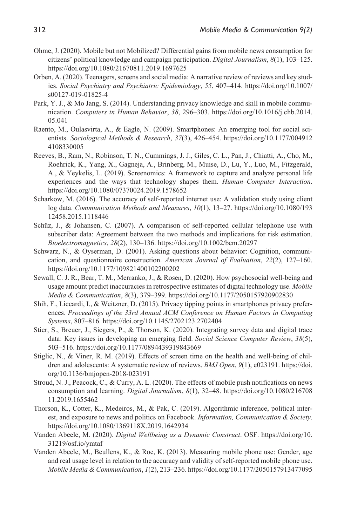- Ohme, J. (2020). Mobile but not Mobilized? Differential gains from mobile news consumption for citizens' political knowledge and campaign participation. *Digital Journalism*, *8*(1), 103–125. <https://doi.org/10.1080/21670811.2019.1697625>
- Orben, A. (2020). Teenagers, screens and social media: A narrative review of reviews and key studies. *Social Psychiatry and Psychiatric Epidemiology*, *55*, 407–414. [https://doi.org/10.1007/](https://doi.org/10.1007/s00127-019-01825-4) [s00127-019-01825-4](https://doi.org/10.1007/s00127-019-01825-4)
- Park, Y. J., & Mo Jang, S. (2014). Understanding privacy knowledge and skill in mobile communication. *Computers in Human Behavior*, *38*, 296–303. [https://doi.org/10.1016/j.chb.2014.](https://doi.org/10.1016/j.chb.2014.05.041) [05.041](https://doi.org/10.1016/j.chb.2014.05.041)
- Raento, M., Oulasvirta, A., & Eagle, N. (2009). Smartphones: An emerging tool for social scientists. *Sociological Methods & Research*, *37*(3), 426–454. [https://doi.org/10.1177/004912](https://doi.org/10.1177/0049124108330005) [4108330005](https://doi.org/10.1177/0049124108330005)
- Reeves, B., Ram, N., Robinson, T. N., Cummings, J. J., Giles, C. L., Pan, J., Chiatti, A., Cho, M., Roehrick, K., Yang, X., Gagneja, A., Brinberg, M., Muise, D., Lu, Y., Luo, M., Fitzgerald, A., & Yeykelis, L. (2019). Screenomics: A framework to capture and analyze personal life experiences and the ways that technology shapes them. *Human–Computer Interaction*. <https://doi.org/10.1080/07370024.2019.1578652>
- Scharkow, M. (2016). The accuracy of self-reported internet use: A validation study using client log data. *Communication Methods and Measures*, *10*(1), 13–27. [https://doi.org/10.1080/193](https://doi.org/10.1080/19312458.2015.1118446) [12458.2015.1118446](https://doi.org/10.1080/19312458.2015.1118446)
- Schüz, J., & Johansen, C. (2007). A comparison of self-reported cellular telephone use with subscriber data: Agreement between the two methods and implications for risk estimation. *Bioelectromagnetics*, *28*(2), 130–136.<https://doi.org/10.1002/bem.20297>
- Schwarz, N., & Oyserman, D. (2001). Asking questions about behavior: Cognition, communication, and questionnaire construction. *American Journal of Evaluation*, *22*(2), 127–160. <https://doi.org/10.1177/109821400102200202>
- Sewall, C. J. R., Bear, T. M., Merranko, J., & Rosen, D. (2020). How psychosocial well-being and usage amount predict inaccuracies in retrospective estimates of digital technology use. *Mobile Media & Communication*, *8*(3), 379–399. <https://doi.org/10.1177/2050157920902830>
- Shih, F., Liccardi, I., & Weitzner, D. (2015). Privacy tipping points in smartphones privacy preferences. *Proceedings of the 33rd Annual ACM Conference on Human Factors in Computing Systems*, 807–816. <https://doi.org/10.1145/2702123.2702404>
- Stier, S., Breuer, J., Siegers, P., & Thorson, K. (2020). Integrating survey data and digital trace data: Key issues in developing an emerging field. *Social Science Computer Review*, *38*(5), 503–516. <https://doi.org/10.1177/0894439319843669>
- Stiglic, N., & Viner, R. M. (2019). Effects of screen time on the health and well-being of children and adolescents: A systematic review of reviews. *BMJ Open*, *9*(1), e023191. [https://doi.](https://doi.org/10.1136/bmjopen-2018-023191) [org/10.1136/bmjopen-2018-023191](https://doi.org/10.1136/bmjopen-2018-023191)
- Stroud, N. J., Peacock, C., & Curry, A. L. (2020). The effects of mobile push notifications on news consumption and learning. *Digital Journalism*, *8*(1), 32–48. [https://doi.org/10.1080/216708](https://doi.org/10.1080/21670811.2019.1655462) [11.2019.1655462](https://doi.org/10.1080/21670811.2019.1655462)
- Thorson, K., Cotter, K., Medeiros, M., & Pak, C. (2019). Algorithmic inference, political interest, and exposure to news and politics on Facebook. *Information, Communication & Society*. <https://doi.org/10.1080/1369118X.2019.1642934>
- Vanden Abeele, M. (2020). *Digital Wellbeing as a Dynamic Construct*. OSF. [https://doi.org/10.](https://doi.org/10.31219/osf.io/ymtaf) [31219/osf.io/ymtaf](https://doi.org/10.31219/osf.io/ymtaf)
- Vanden Abeele, M., Beullens, K., & Roe, K. (2013). Measuring mobile phone use: Gender, age and real usage level in relation to the accuracy and validity of self-reported mobile phone use. *Mobile Media & Communication*, *1*(2), 213–236.<https://doi.org/10.1177/2050157913477095>